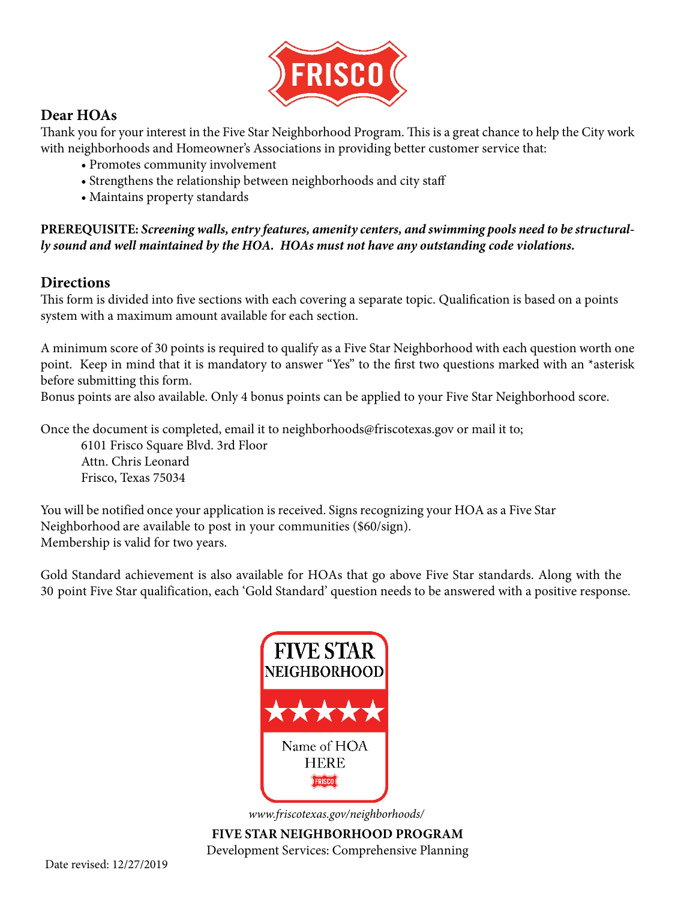

### **Dear HOAs**

Thank you for your interest in the Five Star Neighborhood Program. This is a great chance to help the City work with neighborhoods and Homeowner's Associations in providing better customer service that:

- Promotes community involvement
- Strengthens the relationship between neighborhoods and city staff
- Maintains property standards

**PREREQUISITE:** *Screening walls, entry features, amenity centers, and swimming pools need to be structurally sound and well maintained by the HOA. HOAs must not have any outstanding code violations.* 

### **Directions**

This form is divided into five sections with each covering a separate topic. Qualification is based on a points system with a maximum amount available for each section.

A minimum score of 30 points is required to qualify as a Five Star Neighborhood with each question worth one point. Keep in mind that it is mandatory to answer "Yes" to the first two questions marked with an \*asterisk before submitting this form.

Bonus points are also available. Only 4 bonus points can be applied to your Five Star Neighborhood score.

Once the document is completed, email it to neighborhoods@friscotexas.gov or mail it to;

6101 Frisco Square Blvd. 3rd Floor Attn. Chris Leonard Frisco, Texas 75034

You will be notified once your application is received. Signs recognizing your HOA as a Five Star Neighborhood are available to post in your communities (\$60/sign). Membership is valid for two years.

Gold Standard achievement is also available for HOAs that go above Five Star standards. Along with the 30 point Five Star qualification, each 'Gold Standard' question needs to be answered with a positive response.



*[www.friscotexas.gov/neighborhoods/](https://www.friscotexas.gov/977/Neighborhoods)*

**FIVE STAR NEIGHBORHOOD PROGRAM** Development Services: Comprehensive Planning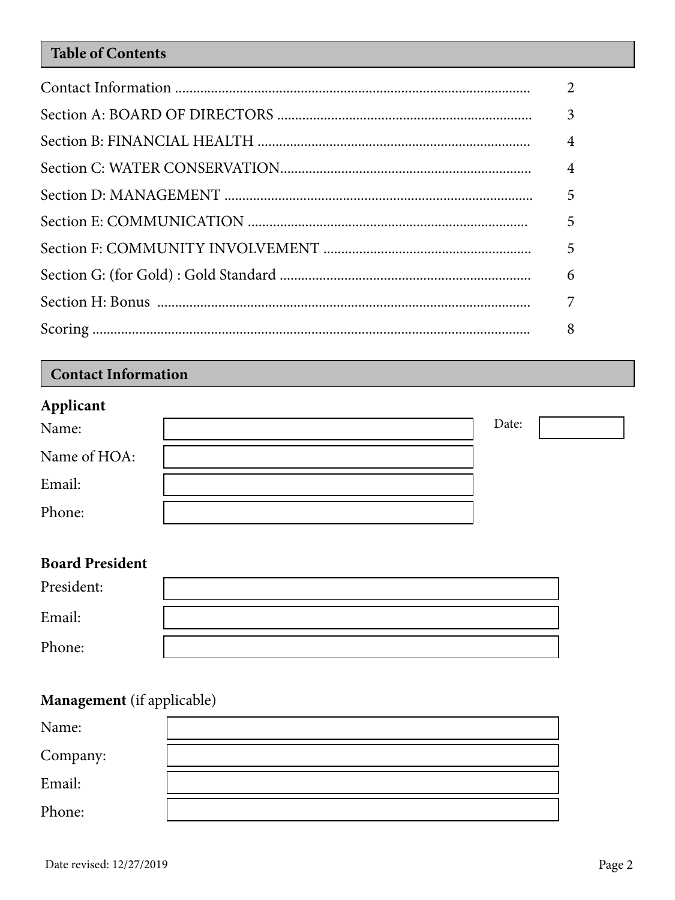## **Table of Contents**

| $\mathcal{D}_{\mathcal{L}}$ |
|-----------------------------|
|                             |
| $\overline{4}$              |
| $\overline{4}$              |
|                             |
| 5                           |
|                             |
| 6                           |
| 7                           |
| 8                           |

# **Contact Information**

## **Applicant**

| --<br>Name:  | Date: |  |
|--------------|-------|--|
| Name of HOA: |       |  |
| Email:       |       |  |
| Phone:       |       |  |

# **Board President**

| President: |  |
|------------|--|
| Email:     |  |
| Phone:     |  |

# **Management** (if applicable)

| Name:    |  |
|----------|--|
| Company: |  |
| Email:   |  |
| Phone:   |  |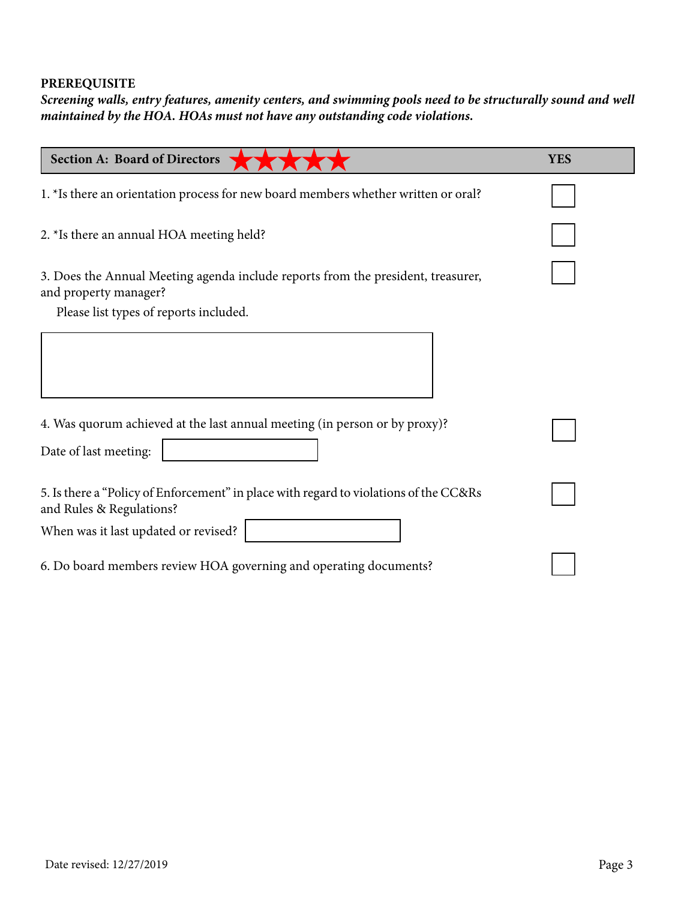### **PREREQUISITE**

*Screening walls, entry features, amenity centers, and swimming pools need to be structurally sound and well maintained by the HOA. HOAs must not have any outstanding code violations.* 

| <b>Section A: Board of Directors</b>                                                                              | <b>YES</b> |
|-------------------------------------------------------------------------------------------------------------------|------------|
| 1. *Is there an orientation process for new board members whether written or oral?                                |            |
| 2. *Is there an annual HOA meeting held?                                                                          |            |
| 3. Does the Annual Meeting agenda include reports from the president, treasurer,<br>and property manager?         |            |
| Please list types of reports included.                                                                            |            |
|                                                                                                                   |            |
| 4. Was quorum achieved at the last annual meeting (in person or by proxy)?                                        |            |
| Date of last meeting:                                                                                             |            |
| 5. Is there a "Policy of Enforcement" in place with regard to violations of the CC&Rs<br>and Rules & Regulations? |            |
| When was it last updated or revised?                                                                              |            |
| 6. Do board members review HOA governing and operating documents?                                                 |            |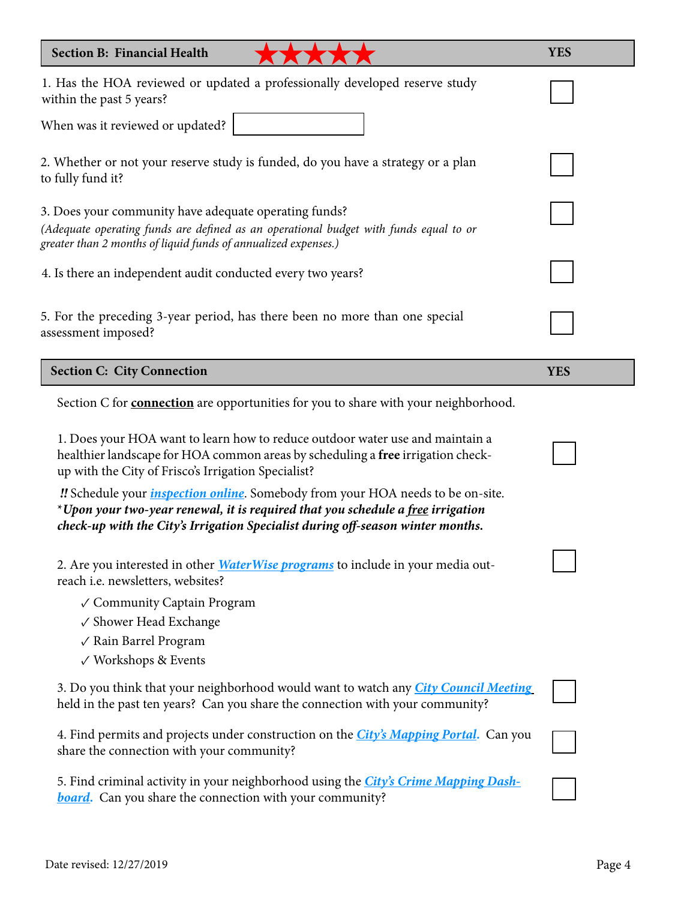| <b>Section B: Financial Health</b>                                                                                                                                                                                                                          | <b>YES</b> |
|-------------------------------------------------------------------------------------------------------------------------------------------------------------------------------------------------------------------------------------------------------------|------------|
| 1. Has the HOA reviewed or updated a professionally developed reserve study<br>within the past 5 years?                                                                                                                                                     |            |
| When was it reviewed or updated?                                                                                                                                                                                                                            |            |
| 2. Whether or not your reserve study is funded, do you have a strategy or a plan<br>to fully fund it?                                                                                                                                                       |            |
| 3. Does your community have adequate operating funds?<br>(Adequate operating funds are defined as an operational budget with funds equal to or<br>greater than 2 months of liquid funds of annualized expenses.)                                            |            |
| 4. Is there an independent audit conducted every two years?                                                                                                                                                                                                 |            |
| 5. For the preceding 3-year period, has there been no more than one special<br>assessment imposed?                                                                                                                                                          |            |
| <b>Section C: City Connection</b>                                                                                                                                                                                                                           | <b>YES</b> |
| Section C for <b>connection</b> are opportunities for you to share with your neighborhood.                                                                                                                                                                  |            |
| 1. Does your HOA want to learn how to reduce outdoor water use and maintain a<br>healthier landscape for HOA common areas by scheduling a free irrigation check-<br>up with the City of Frisco's Irrigation Specialist?                                     |            |
| "Schedule your <i>inspection online</i> . Somebody from your HOA needs to be on-site.<br>*Upon your two-year renewal, it is required that you schedule a free irrigation<br>check-up with the City's Irrigation Specialist during off-season winter months. |            |
| 2. Are you interested in other <i>Water Wise programs</i> to include in your media out-<br>reach i.e. newsletters, websites?                                                                                                                                |            |
| √ Community Captain Program<br>√ Shower Head Exchange<br>√ Rain Barrel Program<br>√ Workshops & Events                                                                                                                                                      |            |
| 3. Do you think that your neighborhood would want to watch any <i>City Council Meeting</i><br>held in the past ten years? Can you share the connection with your community?                                                                                 |            |
| 4. Find permits and projects under construction on the <i>City's Mapping Portal</i> . Can you<br>share the connection with your community?                                                                                                                  |            |
| 5. Find criminal activity in your neighborhood using the City's Crime Mapping Dash-<br><b>board.</b> Can you share the connection with your community?                                                                                                      |            |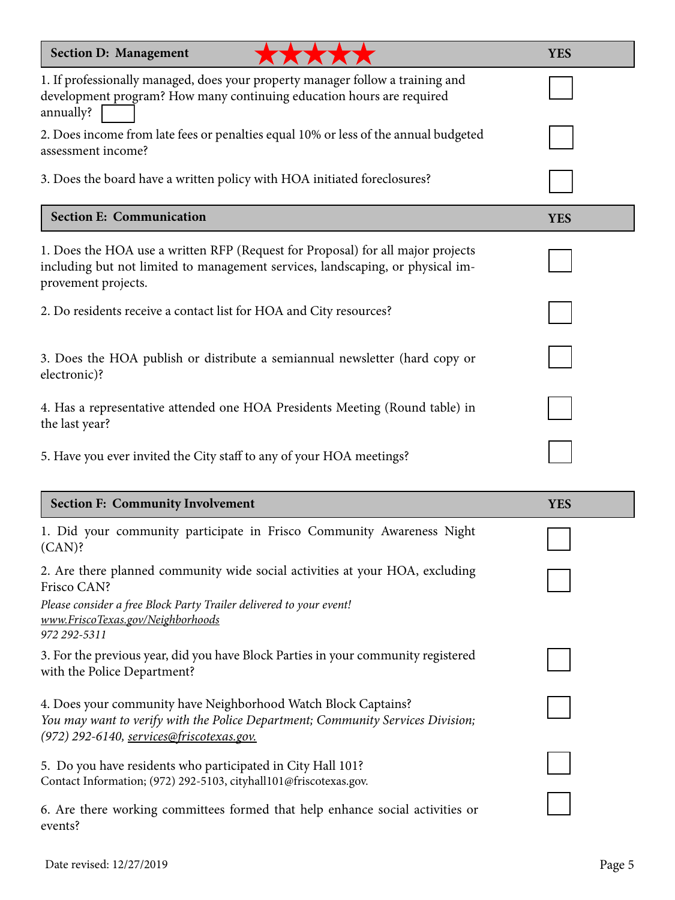| <b>Section D: Management</b>                                                                                                                                                                                            | <b>YES</b> |
|-------------------------------------------------------------------------------------------------------------------------------------------------------------------------------------------------------------------------|------------|
| 1. If professionally managed, does your property manager follow a training and<br>development program? How many continuing education hours are required<br>annually?                                                    |            |
| 2. Does income from late fees or penalties equal 10% or less of the annual budgeted<br>assessment income?                                                                                                               |            |
| 3. Does the board have a written policy with HOA initiated foreclosures?                                                                                                                                                |            |
| <b>Section E: Communication</b>                                                                                                                                                                                         | <b>YES</b> |
| 1. Does the HOA use a written RFP (Request for Proposal) for all major projects<br>including but not limited to management services, landscaping, or physical im-<br>provement projects.                                |            |
| 2. Do residents receive a contact list for HOA and City resources?                                                                                                                                                      |            |
| 3. Does the HOA publish or distribute a semiannual newsletter (hard copy or<br>electronic)?                                                                                                                             |            |
| 4. Has a representative attended one HOA Presidents Meeting (Round table) in<br>the last year?                                                                                                                          |            |
| 5. Have you ever invited the City staff to any of your HOA meetings?                                                                                                                                                    |            |
| <b>Section F: Community Involvement</b>                                                                                                                                                                                 | <b>YES</b> |
| 1. Did your community participate in Frisco Community Awareness Night<br>$(CAN)$ ?                                                                                                                                      |            |
| 2. Are there planned community wide social activities at your HOA, excluding<br>Frisco CAN?<br>Please consider a free Block Party Trailer delivered to your event!<br>www.FriscoTexas.gov/Neighborhoods<br>972 292-5311 |            |
| 3. For the previous year, did you have Block Parties in your community registered<br>with the Police Department?                                                                                                        |            |
| 4. Does your community have Neighborhood Watch Block Captains?<br>You may want to verify with the Police Department; Community Services Division;<br>(972) 292-6140, services@friscotexas.gov.                          |            |
| 5. Do you have residents who participated in City Hall 101?<br>Contact Information; (972) 292-5103, cityhall101@friscotexas.gov.                                                                                        |            |
| 6. Are there working committees formed that help enhance social activities or<br>events?                                                                                                                                |            |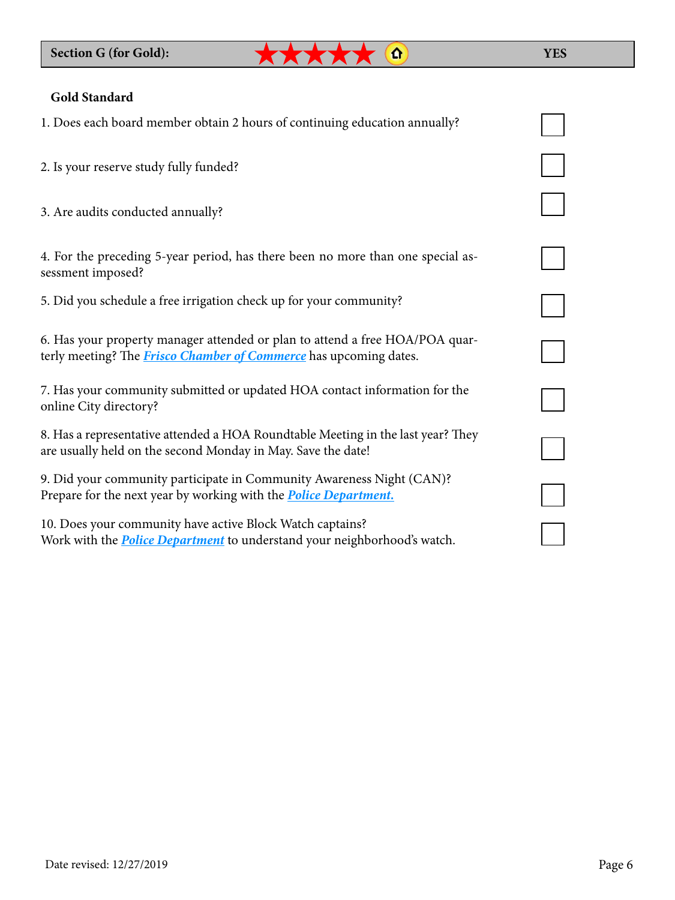### **YES**

### **Gold Standard**

| 1. Does each board member obtain 2 hours of continuing education annually?                                                                               |  |
|----------------------------------------------------------------------------------------------------------------------------------------------------------|--|
| 2. Is your reserve study fully funded?                                                                                                                   |  |
| 3. Are audits conducted annually?                                                                                                                        |  |
| 4. For the preceding 5-year period, has there been no more than one special as-<br>sessment imposed?                                                     |  |
| 5. Did you schedule a free irrigation check up for your community?                                                                                       |  |
| 6. Has your property manager attended or plan to attend a free HOA/POA quar-<br>terly meeting? The <i>Frisco Chamber of Commerce</i> has upcoming dates. |  |
| 7. Has your community submitted or updated HOA contact information for the<br>online City directory?                                                     |  |
| 8. Has a representative attended a HOA Roundtable Meeting in the last year? They<br>are usually held on the second Monday in May. Save the date!         |  |
| 9. Did your community participate in Community Awareness Night (CAN)?<br>Prepare for the next year by working with the <b>Police Department</b> .        |  |
| 10. Does your community have active Block Watch captains?<br>Work with the <b>Police Department</b> to understand your neighborhood's watch.             |  |

\*\*\*\*\* @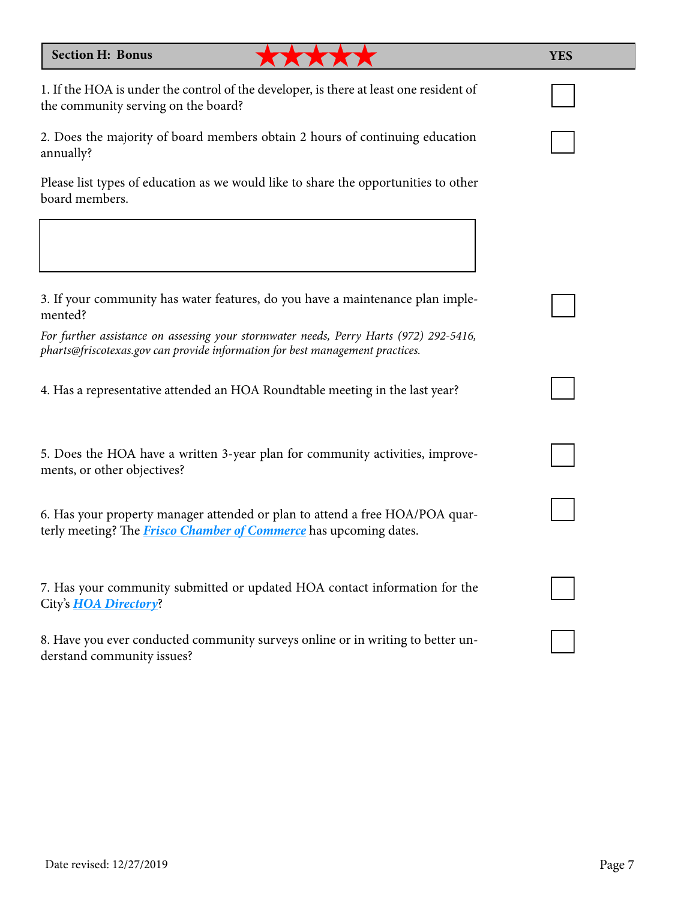#### **Section H: Bonus**

1. If the HOA is under the control of the developer, is there at least one resident of the community serving on the board?

\*\*\*\*\*

2. Does the majority of board members obtain 2 hours of continuing education annually?

Please list types of education as we would like to share the opportunities to other board members.

3. If your community has water features, do you have a maintenance plan implemented?

*For further assistance on assessing your stormwater needs, Perry Harts (972) 292-5416, [pharts@friscotexas.gov](mailto:pharts%40friscotexas.gov?subject=Stormwater%20maintenance) can provide information for best management practices.*

4. Has a representative attended an HOA Roundtable meeting in the last year?

5. Does the HOA have a written 3-year plan for community activities, improvements, or other objectives?

6. Has your property manager attended or plan to attend a free HOA/POA quarterly meeting? The *[Frisco Chamber of Commerce](https://www.friscochamber.com/hoa-poa/)* has upcoming dates.

7. Has your community submitted or updated HOA contact information for the City's *[HOA Directory](https://www.friscotexas.gov/DocumentCenter/View/1446/HOA-Directory-PDF%3FbidId%3D)*?

8. Have you ever conducted community surveys online or in writing to better understand community issues?